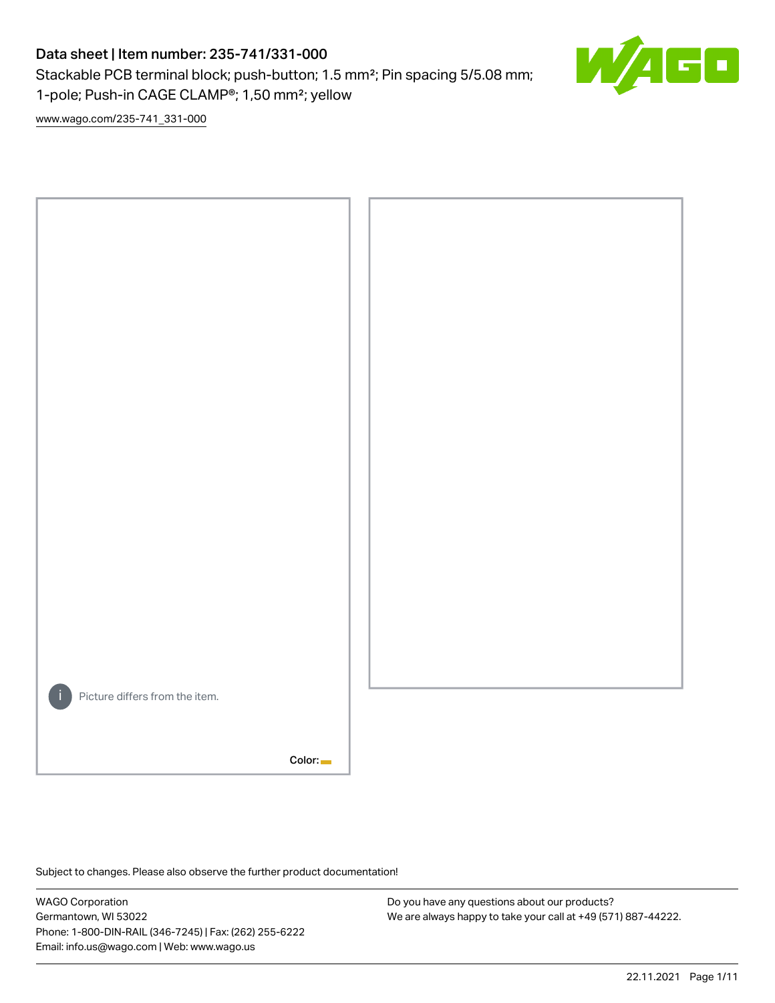# Data sheet | Item number: 235-741/331-000

Stackable PCB terminal block; push-button; 1.5 mm²; Pin spacing 5/5.08 mm; 1-pole; Push-in CAGE CLAMP®; 1,50 mm²; yellow



[www.wago.com/235-741\\_331-000](http://www.wago.com/235-741_331-000)



Subject to changes. Please also observe the further product documentation!

WAGO Corporation Germantown, WI 53022 Phone: 1-800-DIN-RAIL (346-7245) | Fax: (262) 255-6222 Email: info.us@wago.com | Web: www.wago.us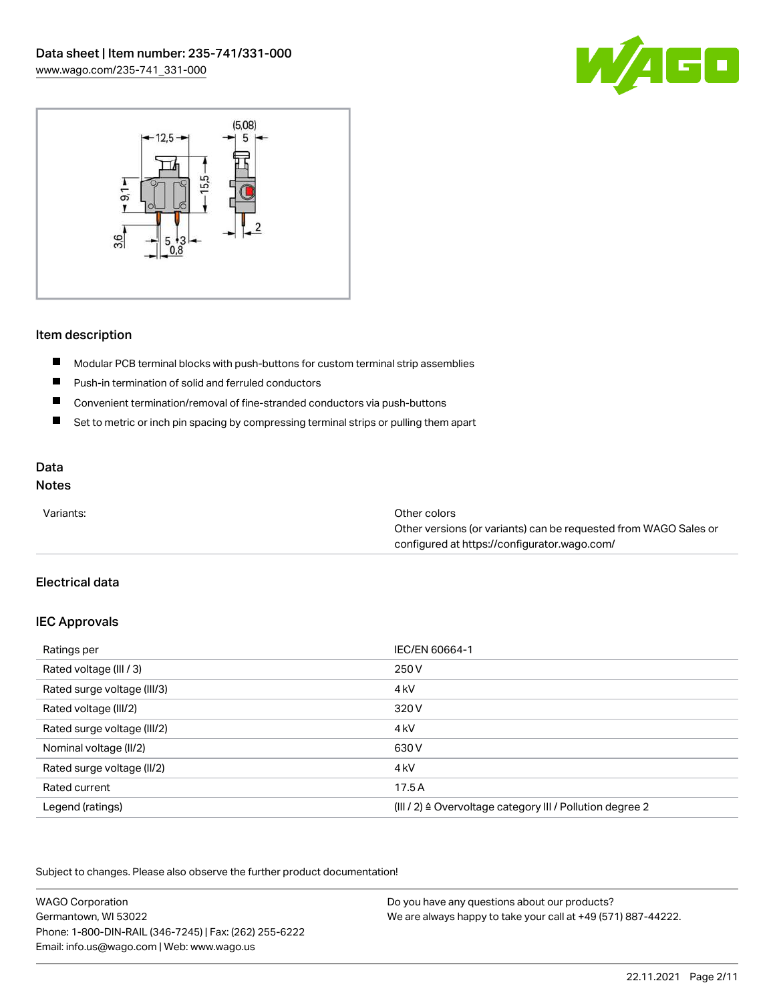



### Item description

- $\blacksquare$ Modular PCB terminal blocks with push-buttons for custom terminal strip assemblies
- $\blacksquare$ Push-in termination of solid and ferruled conductors
- $\blacksquare$ Convenient termination/removal of fine-stranded conductors via push-buttons
- $\blacksquare$ Set to metric or inch pin spacing by compressing terminal strips or pulling them apart

# Data

# Notes

| Variants: | Other colors                                                     |
|-----------|------------------------------------------------------------------|
|           | Other versions (or variants) can be requested from WAGO Sales or |
|           | configured at https://configurator.wago.com/                     |

## Electrical data

#### IEC Approvals

| Ratings per                 | IEC/EN 60664-1                                                       |
|-----------------------------|----------------------------------------------------------------------|
| Rated voltage (III / 3)     | 250 V                                                                |
| Rated surge voltage (III/3) | 4 <sub>kV</sub>                                                      |
| Rated voltage (III/2)       | 320 V                                                                |
| Rated surge voltage (III/2) | 4 <sub>k</sub> V                                                     |
| Nominal voltage (II/2)      | 630 V                                                                |
| Rated surge voltage (II/2)  | 4 <sub>k</sub> V                                                     |
| Rated current               | 17.5A                                                                |
| Legend (ratings)            | (III / 2) $\triangleq$ Overvoltage category III / Pollution degree 2 |

Subject to changes. Please also observe the further product documentation!

| <b>WAGO Corporation</b>                                | Do you have any questions about our products?                 |
|--------------------------------------------------------|---------------------------------------------------------------|
| Germantown, WI 53022                                   | We are always happy to take your call at +49 (571) 887-44222. |
| Phone: 1-800-DIN-RAIL (346-7245)   Fax: (262) 255-6222 |                                                               |
| Email: info.us@wago.com   Web: www.wago.us             |                                                               |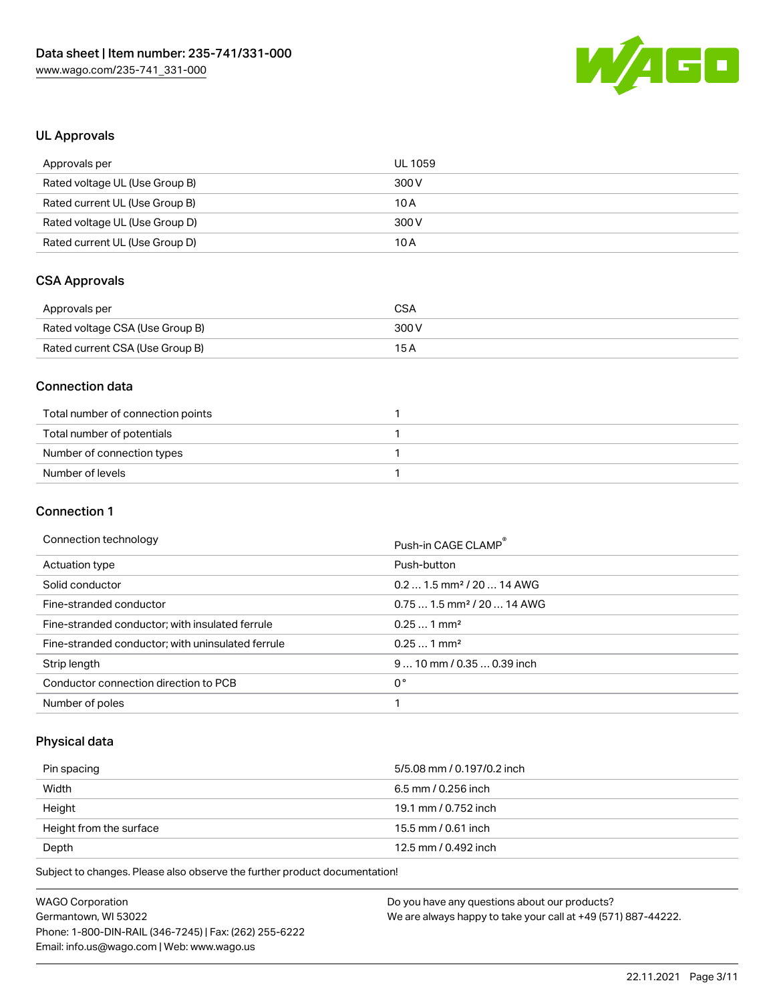

## UL Approvals

| Approvals per                  | UL 1059 |
|--------------------------------|---------|
| Rated voltage UL (Use Group B) | 300 V   |
| Rated current UL (Use Group B) | 10 A    |
| Rated voltage UL (Use Group D) | 300 V   |
| Rated current UL (Use Group D) | 10 A    |

# CSA Approvals

| Approvals per                   | CSA   |
|---------------------------------|-------|
| Rated voltage CSA (Use Group B) | 300 V |
| Rated current CSA (Use Group B) | 15 A  |

### Connection data

| Total number of connection points |  |
|-----------------------------------|--|
| Total number of potentials        |  |
| Number of connection types        |  |
| Number of levels                  |  |

#### Connection 1

#### Connection technology example and the connection of the connection of the connection of the connection of the connection of the connection of the connection of the connection of the connection of the connection of the conn

|                                                   | PUSH-III UAUE ULAIVIP                  |
|---------------------------------------------------|----------------------------------------|
| Actuation type                                    | Push-button                            |
| Solid conductor                                   | $0.21.5$ mm <sup>2</sup> / 20  14 AWG  |
| Fine-stranded conductor                           | $0.751.5$ mm <sup>2</sup> / 20  14 AWG |
| Fine-stranded conductor; with insulated ferrule   | $0.251$ mm <sup>2</sup>                |
| Fine-stranded conductor; with uninsulated ferrule | $0.251$ mm <sup>2</sup>                |
| Strip length                                      | $910$ mm / 0.35  0.39 inch             |
| Conductor connection direction to PCB             | 0°                                     |
| Number of poles                                   |                                        |

## Physical data

| Pin spacing             | 5/5.08 mm / 0.197/0.2 inch |
|-------------------------|----------------------------|
| Width                   | 6.5 mm / 0.256 inch        |
| Height                  | 19.1 mm / 0.752 inch       |
| Height from the surface | 15.5 mm / 0.61 inch        |
| Depth                   | 12.5 mm / 0.492 inch       |

Subject to changes. Please also observe the further product documentation!

| <b>WAGO Corporation</b>                                | Do you have any questions about our products?                 |
|--------------------------------------------------------|---------------------------------------------------------------|
| Germantown, WI 53022                                   | We are always happy to take your call at +49 (571) 887-44222. |
| Phone: 1-800-DIN-RAIL (346-7245)   Fax: (262) 255-6222 |                                                               |
| Email: info.us@wago.com   Web: www.wago.us             |                                                               |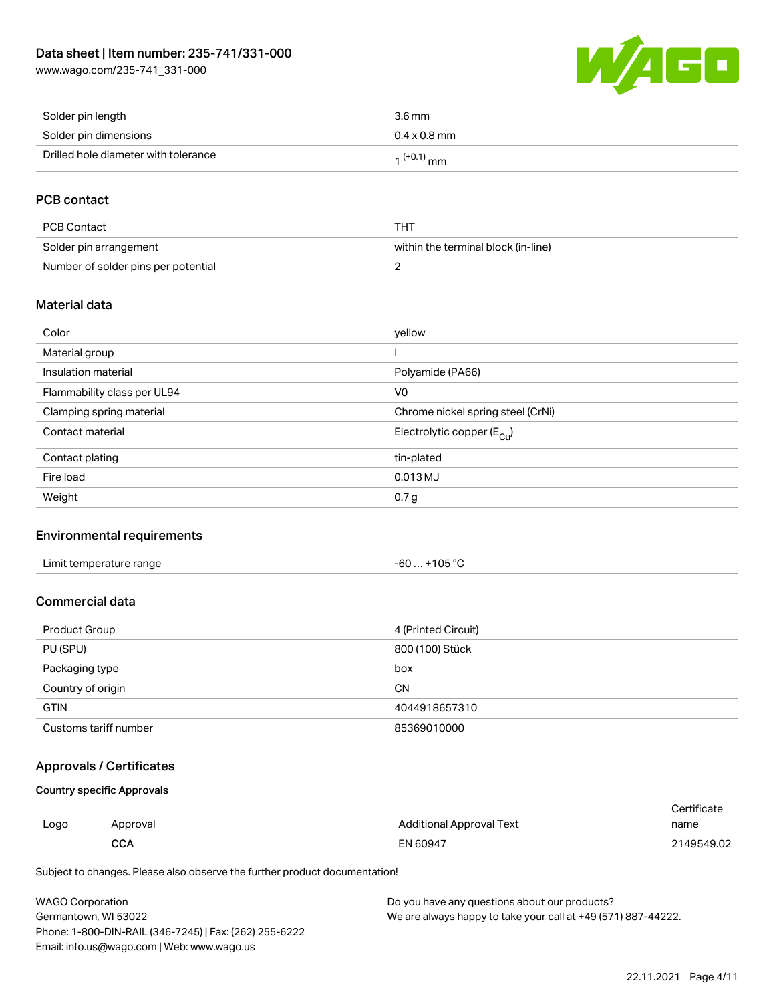[www.wago.com/235-741\\_331-000](http://www.wago.com/235-741_331-000)



| Solder pin length                    | $3.6 \,\mathrm{mm}$ |
|--------------------------------------|---------------------|
| Solder pin dimensions                | $0.4 \times 0.8$ mm |
| Drilled hole diameter with tolerance | $1^{(+0.1)}$ mm     |

## PCB contact

| PCB Contact                         | THT                                 |
|-------------------------------------|-------------------------------------|
| Solder pin arrangement              | within the terminal block (in-line) |
| Number of solder pins per potential |                                     |

### Material data

| Color                       | yellow                                  |
|-----------------------------|-----------------------------------------|
| Material group              |                                         |
| Insulation material         | Polyamide (PA66)                        |
| Flammability class per UL94 | V <sub>0</sub>                          |
| Clamping spring material    | Chrome nickel spring steel (CrNi)       |
| Contact material            | Electrolytic copper ( $E_{\text{Cu}}$ ) |
| Contact plating             | tin-plated                              |
| Fire load                   | $0.013$ MJ                              |
| Weight                      | 0.7 <sub>g</sub>                        |

#### Environmental requirements

## Commercial data

| Product Group         | 4 (Printed Circuit) |
|-----------------------|---------------------|
| PU (SPU)              | 800 (100) Stück     |
| Packaging type        | box                 |
| Country of origin     | <b>CN</b>           |
| <b>GTIN</b>           | 4044918657310       |
| Customs tariff number | 85369010000         |

## Approvals / Certificates

Country specific Approvals

| Logo | Approval | <b>Additional Approval Text</b> | Certificate<br>name |
|------|----------|---------------------------------|---------------------|
|      | CCA      | EN 60947                        | 2149549.02          |

Subject to changes. Please also observe the further product documentation!

| WAGO Corporation                                       | Do you have any questions about our products?                 |
|--------------------------------------------------------|---------------------------------------------------------------|
| Germantown, WI 53022                                   | We are always happy to take your call at +49 (571) 887-44222. |
| Phone: 1-800-DIN-RAIL (346-7245)   Fax: (262) 255-6222 |                                                               |
| Email: info.us@wago.com   Web: www.wago.us             |                                                               |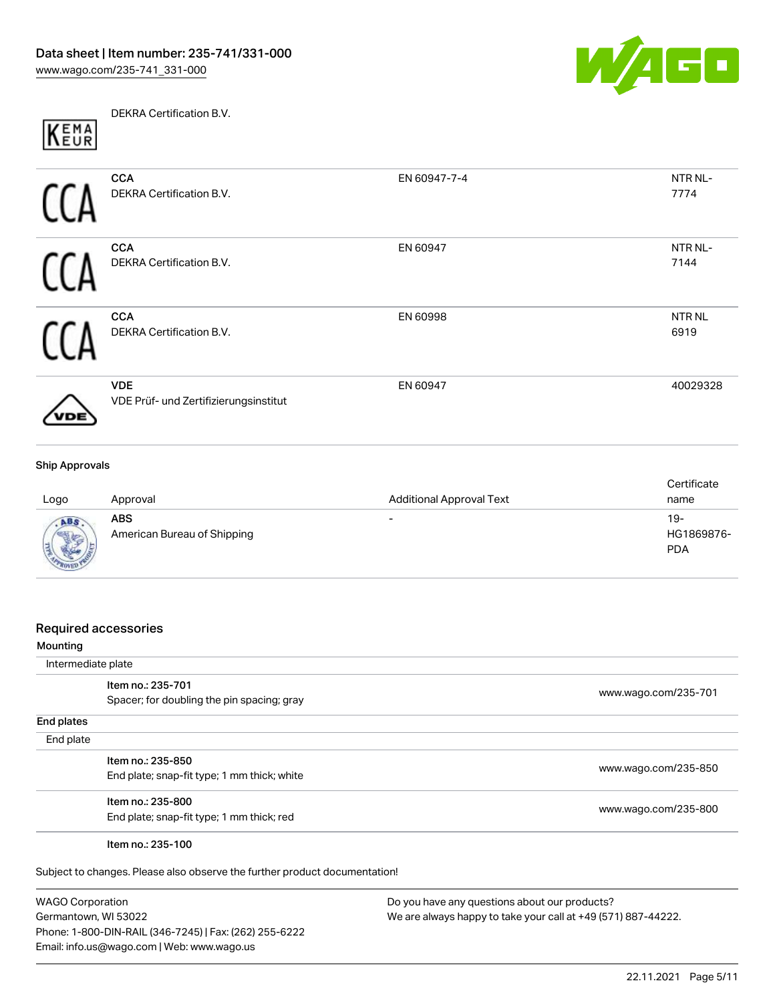

DEKRA Certification B.V. KEMA

| <b>CCA</b>                            | EN 60947-7-4 | NTR NL-           |
|---------------------------------------|--------------|-------------------|
| DEKRA Certification B.V.              |              | 7774              |
| <b>CCA</b>                            | EN 60947     | NTR NL-           |
| DEKRA Certification B.V.              |              | 7144              |
| <b>CCA</b>                            | EN 60998     | NTR <sub>NL</sub> |
| DEKRA Certification B.V.              |              | 6919              |
| <b>VDE</b>                            | EN 60947     | 40029328          |
| VDE Prüf- und Zertifizierungsinstitut |              |                   |

| Logo                      | Approval                           | <b>Additional Approval Text</b> | Certificate<br>name               |
|---------------------------|------------------------------------|---------------------------------|-----------------------------------|
| <b>ABS</b><br><b>ROVE</b> | ABS<br>American Bureau of Shipping | $\overline{\phantom{0}}$        | $19-$<br>HG1869876-<br><b>PDA</b> |

#### Required accessories

| Mounting           |                                             |                      |
|--------------------|---------------------------------------------|----------------------|
| Intermediate plate |                                             |                      |
|                    | Item no.: 235-701                           |                      |
|                    | Spacer; for doubling the pin spacing; gray  | www.wago.com/235-701 |
| End plates         |                                             |                      |
| End plate          |                                             |                      |
|                    | Item no.: 235-850                           |                      |
|                    | End plate; snap-fit type; 1 mm thick; white | www.wago.com/235-850 |
|                    | Item no.: 235-800                           |                      |
|                    | End plate; snap-fit type; 1 mm thick; red   | www.wago.com/235-800 |
|                    | Item no.: 235-100                           |                      |

Subject to changes. Please also observe the further product documentation!

WAGO Corporation Germantown, WI 53022 Phone: 1-800-DIN-RAIL (346-7245) | Fax: (262) 255-6222 Email: info.us@wago.com | Web: www.wago.us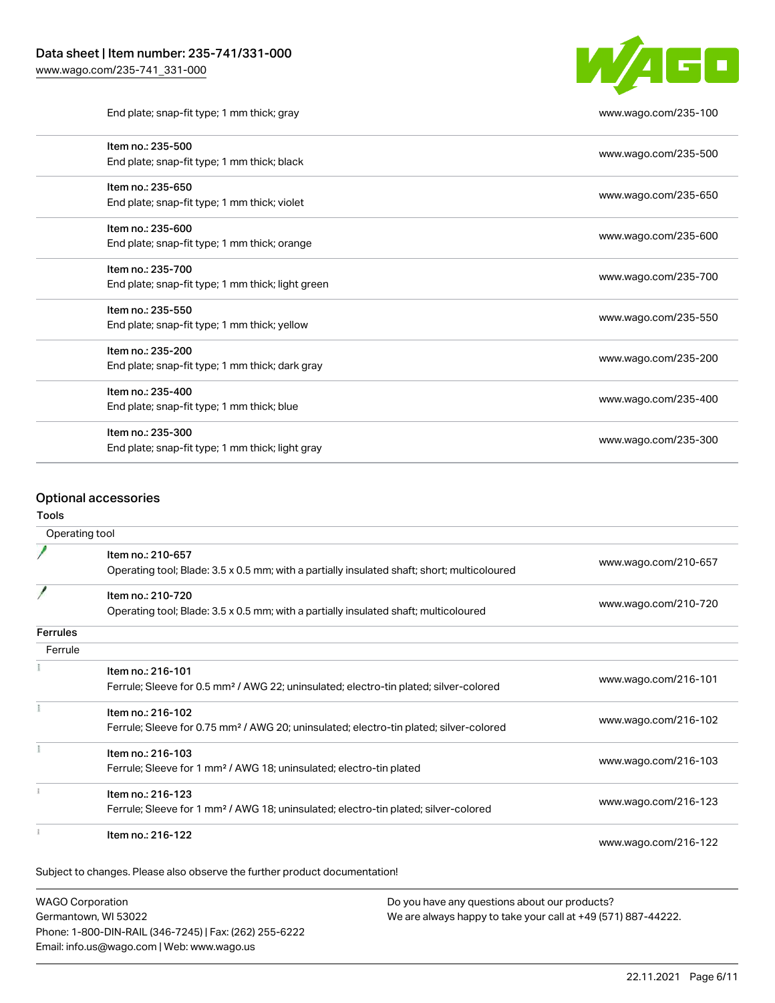

End plate; snap-fit type; 1 mm thick; gray [www.wago.com/235-100](http://www.wago.com/235-100)

| Item no.: 235-500                                 | www.wago.com/235-500 |
|---------------------------------------------------|----------------------|
| End plate; snap-fit type; 1 mm thick; black       |                      |
| Item no.: 235-650                                 | www.wago.com/235-650 |
| End plate; snap-fit type; 1 mm thick; violet      |                      |
| Item no.: 235-600                                 |                      |
| End plate; snap-fit type; 1 mm thick; orange      | www.wago.com/235-600 |
| Item no.: 235-700                                 |                      |
| End plate; snap-fit type; 1 mm thick; light green | www.wago.com/235-700 |
| Item no.: 235-550                                 |                      |
| End plate; snap-fit type; 1 mm thick; yellow      | www.wago.com/235-550 |
| Item no.: 235-200                                 |                      |
| End plate; snap-fit type; 1 mm thick; dark gray   | www.wago.com/235-200 |
| Item no.: 235-400                                 |                      |
| End plate; snap-fit type; 1 mm thick; blue        | www.wago.com/235-400 |
| Item no.: 235-300                                 | www.wago.com/235-300 |
| End plate; snap-fit type; 1 mm thick; light gray  |                      |
|                                                   |                      |

### Optional accessories

#### Tools

| Operating tool  |                                                                                                                  |                      |  |
|-----------------|------------------------------------------------------------------------------------------------------------------|----------------------|--|
|                 | Item no.: 210-657<br>Operating tool; Blade: 3.5 x 0.5 mm; with a partially insulated shaft; short; multicoloured | www.wago.com/210-657 |  |
|                 | Item no.: 210-720<br>Operating tool; Blade: 3.5 x 0.5 mm; with a partially insulated shaft; multicoloured        | www.wago.com/210-720 |  |
| <b>Ferrules</b> |                                                                                                                  |                      |  |
| Ferrule         |                                                                                                                  |                      |  |
|                 | Item no.: 216-101                                                                                                |                      |  |
|                 | Ferrule; Sleeve for 0.5 mm <sup>2</sup> / AWG 22; uninsulated; electro-tin plated; silver-colored                | www.wago.com/216-101 |  |
|                 | Item no.: 216-102                                                                                                |                      |  |
|                 | Ferrule; Sleeve for 0.75 mm <sup>2</sup> / AWG 20; uninsulated; electro-tin plated; silver-colored               | www.wago.com/216-102 |  |
|                 | Item no.: 216-103                                                                                                |                      |  |
|                 | Ferrule; Sleeve for 1 mm <sup>2</sup> / AWG 18; uninsulated; electro-tin plated                                  | www.wago.com/216-103 |  |
|                 | Item no.: 216-123                                                                                                |                      |  |
|                 | Ferrule; Sleeve for 1 mm <sup>2</sup> / AWG 18; uninsulated; electro-tin plated; silver-colored                  | www.wago.com/216-123 |  |
|                 | Item no.: 216-122                                                                                                | www.wago.com/216-122 |  |

WAGO Corporation Germantown, WI 53022 Phone: 1-800-DIN-RAIL (346-7245) | Fax: (262) 255-6222 Email: info.us@wago.com | Web: www.wago.us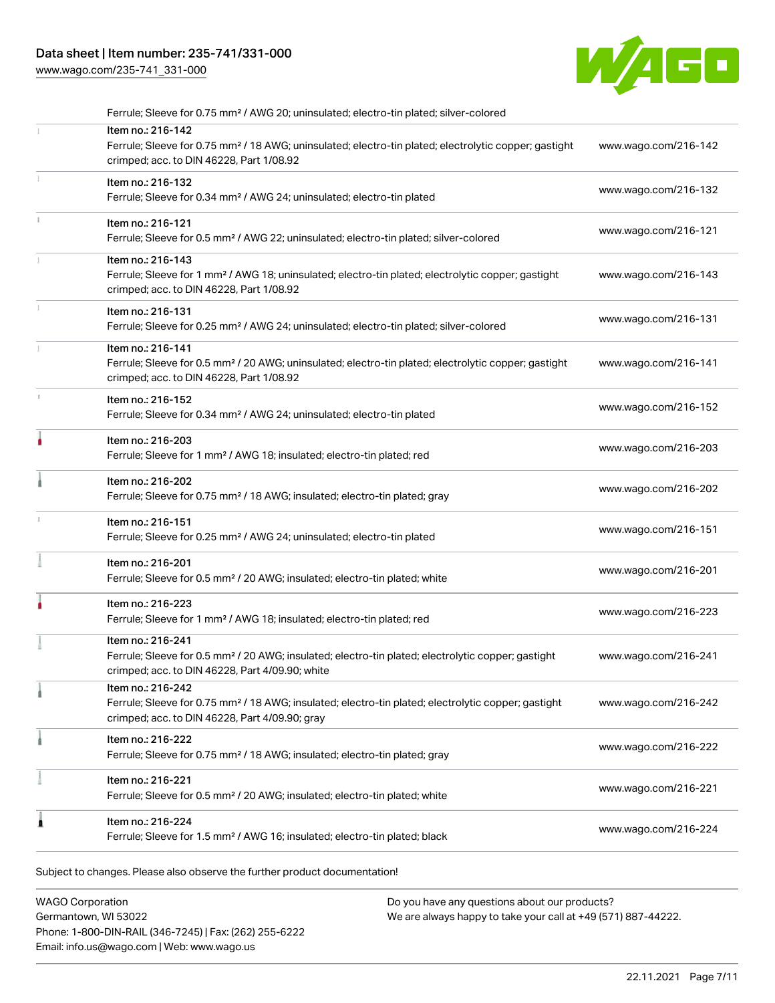## Data sheet | Item number: 235-741/331-000

[www.wago.com/235-741\\_331-000](http://www.wago.com/235-741_331-000)



| Ferrule; Sleeve for 0.75 mm <sup>2</sup> / AWG 20; uninsulated; electro-tin plated; silver-colored                                                                                     |                      |
|----------------------------------------------------------------------------------------------------------------------------------------------------------------------------------------|----------------------|
| Item no.: 216-142<br>Ferrule; Sleeve for 0.75 mm <sup>2</sup> / 18 AWG; uninsulated; electro-tin plated; electrolytic copper; gastight<br>crimped; acc. to DIN 46228, Part 1/08.92     | www.wago.com/216-142 |
| Item no.: 216-132<br>Ferrule; Sleeve for 0.34 mm <sup>2</sup> / AWG 24; uninsulated; electro-tin plated                                                                                | www.wago.com/216-132 |
| Item no.: 216-121<br>Ferrule; Sleeve for 0.5 mm <sup>2</sup> / AWG 22; uninsulated; electro-tin plated; silver-colored                                                                 | www.wago.com/216-121 |
| Item no.: 216-143<br>Ferrule; Sleeve for 1 mm <sup>2</sup> / AWG 18; uninsulated; electro-tin plated; electrolytic copper; gastight<br>crimped; acc. to DIN 46228, Part 1/08.92        | www.wago.com/216-143 |
| Item no.: 216-131<br>Ferrule; Sleeve for 0.25 mm <sup>2</sup> / AWG 24; uninsulated; electro-tin plated; silver-colored                                                                | www.wago.com/216-131 |
| Item no.: 216-141<br>Ferrule; Sleeve for 0.5 mm <sup>2</sup> / 20 AWG; uninsulated; electro-tin plated; electrolytic copper; gastight<br>crimped; acc. to DIN 46228, Part 1/08.92      | www.wago.com/216-141 |
| Item no.: 216-152<br>Ferrule; Sleeve for 0.34 mm <sup>2</sup> / AWG 24; uninsulated; electro-tin plated                                                                                | www.wago.com/216-152 |
| Item no.: 216-203<br>Ferrule; Sleeve for 1 mm <sup>2</sup> / AWG 18; insulated; electro-tin plated; red                                                                                | www.wago.com/216-203 |
| Item no.: 216-202<br>Ferrule; Sleeve for 0.75 mm <sup>2</sup> / 18 AWG; insulated; electro-tin plated; gray                                                                            | www.wago.com/216-202 |
| Item no.: 216-151<br>Ferrule; Sleeve for 0.25 mm <sup>2</sup> / AWG 24; uninsulated; electro-tin plated                                                                                | www.wago.com/216-151 |
| Item no.: 216-201<br>Ferrule; Sleeve for 0.5 mm <sup>2</sup> / 20 AWG; insulated; electro-tin plated; white                                                                            | www.wago.com/216-201 |
| Item no.: 216-223<br>Ferrule; Sleeve for 1 mm <sup>2</sup> / AWG 18; insulated; electro-tin plated; red                                                                                | www.wago.com/216-223 |
| Item no.: 216-241<br>Ferrule; Sleeve for 0.5 mm <sup>2</sup> / 20 AWG; insulated; electro-tin plated; electrolytic copper; gastight<br>crimped; acc. to DIN 46228, Part 4/09.90; white | www.wago.com/216-241 |
| Item no.: 216-242<br>Ferrule; Sleeve for 0.75 mm <sup>2</sup> / 18 AWG; insulated; electro-tin plated; electrolytic copper; gastight<br>crimped; acc. to DIN 46228, Part 4/09.90; gray | www.wago.com/216-242 |
| Item no.: 216-222<br>Ferrule; Sleeve for 0.75 mm <sup>2</sup> / 18 AWG; insulated; electro-tin plated; gray                                                                            | www.wago.com/216-222 |
| Item no.: 216-221<br>Ferrule; Sleeve for 0.5 mm <sup>2</sup> / 20 AWG; insulated; electro-tin plated; white                                                                            | www.wago.com/216-221 |
| Item no.: 216-224<br>Ferrule; Sleeve for 1.5 mm <sup>2</sup> / AWG 16; insulated; electro-tin plated; black                                                                            | www.wago.com/216-224 |

Subject to changes. Please also observe the further product documentation!

WAGO Corporation Germantown, WI 53022 Phone: 1-800-DIN-RAIL (346-7245) | Fax: (262) 255-6222 Email: info.us@wago.com | Web: www.wago.us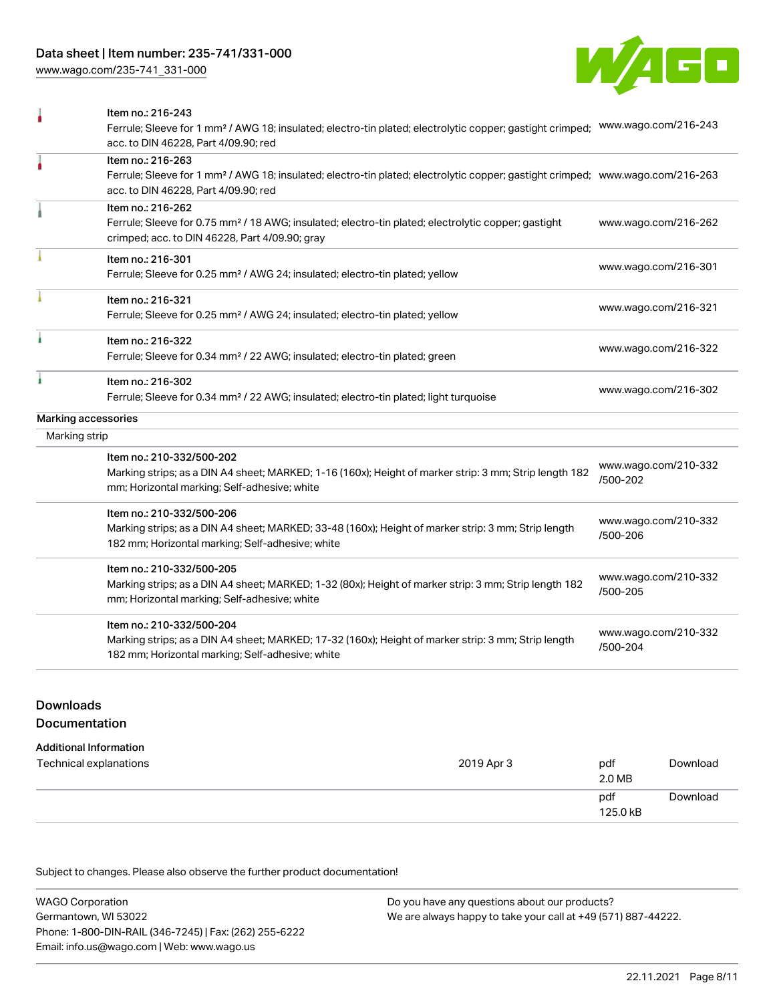[www.wago.com/235-741\\_331-000](http://www.wago.com/235-741_331-000)



|                     | Item no.: 216-243<br>Ferrule; Sleeve for 1 mm <sup>2</sup> / AWG 18; insulated; electro-tin plated; electrolytic copper; gastight crimped;<br>acc. to DIN 46228, Part 4/09.90; red                      | www.wago.com/216-243             |
|---------------------|---------------------------------------------------------------------------------------------------------------------------------------------------------------------------------------------------------|----------------------------------|
| ۸                   | Item no.: 216-263<br>Ferrule; Sleeve for 1 mm <sup>2</sup> / AWG 18; insulated; electro-tin plated; electrolytic copper; gastight crimped; www.wago.com/216-263<br>acc. to DIN 46228, Part 4/09.90; red |                                  |
|                     | Item no.: 216-262<br>Ferrule; Sleeve for 0.75 mm <sup>2</sup> / 18 AWG; insulated; electro-tin plated; electrolytic copper; gastight<br>crimped; acc. to DIN 46228, Part 4/09.90; gray                  | www.wago.com/216-262             |
|                     | Item no.: 216-301<br>Ferrule; Sleeve for 0.25 mm <sup>2</sup> / AWG 24; insulated; electro-tin plated; yellow                                                                                           | www.wago.com/216-301             |
|                     | Item no.: 216-321<br>Ferrule; Sleeve for 0.25 mm <sup>2</sup> / AWG 24; insulated; electro-tin plated; yellow                                                                                           | www.wago.com/216-321             |
| ì                   | Item no.: 216-322<br>Ferrule; Sleeve for 0.34 mm <sup>2</sup> / 22 AWG; insulated; electro-tin plated; green                                                                                            | www.wago.com/216-322             |
|                     | Item no.: 216-302<br>Ferrule; Sleeve for 0.34 mm <sup>2</sup> / 22 AWG; insulated; electro-tin plated; light turquoise                                                                                  | www.wago.com/216-302             |
| Marking accessories |                                                                                                                                                                                                         |                                  |
| Marking strip       |                                                                                                                                                                                                         |                                  |
|                     | Item no.: 210-332/500-202<br>Marking strips; as a DIN A4 sheet; MARKED; 1-16 (160x); Height of marker strip: 3 mm; Strip length 182<br>mm; Horizontal marking; Self-adhesive; white                     | www.wago.com/210-332<br>/500-202 |
|                     | Item no.: 210-332/500-206<br>Marking strips; as a DIN A4 sheet; MARKED; 33-48 (160x); Height of marker strip: 3 mm; Strip length<br>182 mm; Horizontal marking; Self-adhesive; white                    | www.wago.com/210-332<br>/500-206 |
|                     | Item no.: 210-332/500-205<br>Marking strips; as a DIN A4 sheet; MARKED; 1-32 (80x); Height of marker strip: 3 mm; Strip length 182<br>mm; Horizontal marking; Self-adhesive; white                      | www.wago.com/210-332<br>/500-205 |
|                     | Item no.: 210-332/500-204<br>Marking strips; as a DIN A4 sheet; MARKED; 17-32 (160x); Height of marker strip: 3 mm; Strip length<br>182 mm; Horizontal marking; Self-adhesive; white                    | www.wago.com/210-332<br>/500-204 |
|                     |                                                                                                                                                                                                         |                                  |

# Downloads

#### Documentation

| <b>Additional Information</b> |            |                 |          |
|-------------------------------|------------|-----------------|----------|
| Technical explanations        | 2019 Apr 3 | pdf<br>2.0 MB   | Download |
|                               |            | pdf<br>125.0 kB | Download |

Subject to changes. Please also observe the further product documentation!

WAGO Corporation Germantown, WI 53022 Phone: 1-800-DIN-RAIL (346-7245) | Fax: (262) 255-6222 Email: info.us@wago.com | Web: www.wago.us Do you have any questions about our products? We are always happy to take your call at +49 (571) 887-44222.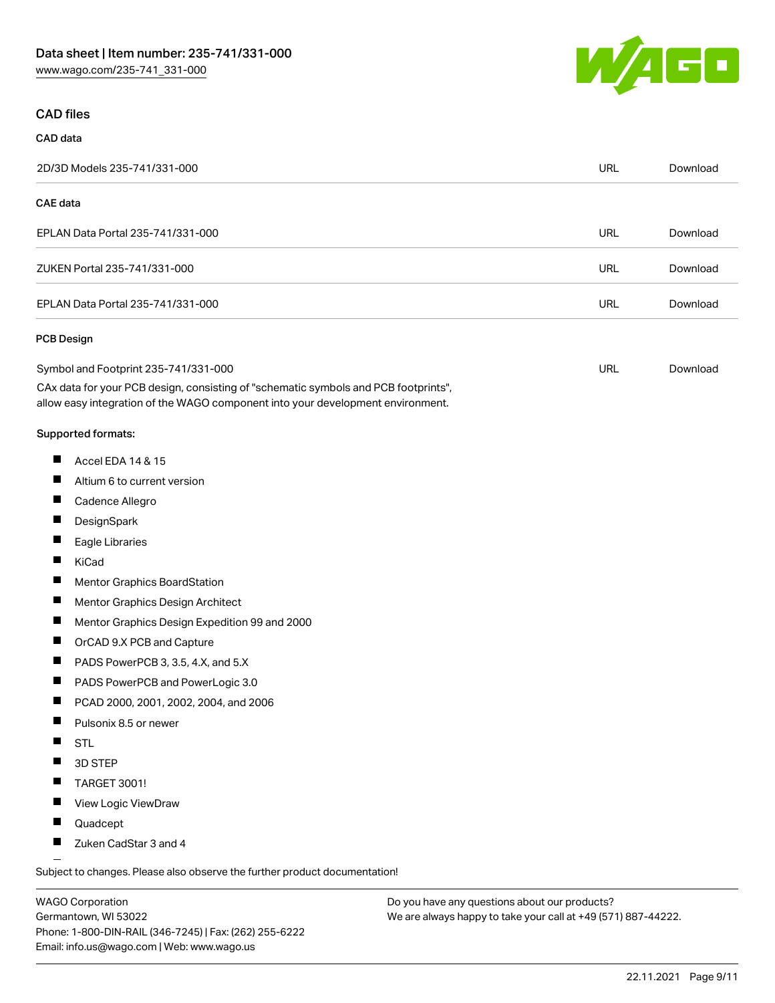## CAD files

# CAD data

| 2D/3D Models 235-741/331-000                                                                                                                                           | <b>URL</b> | Download |
|------------------------------------------------------------------------------------------------------------------------------------------------------------------------|------------|----------|
| <b>CAE</b> data                                                                                                                                                        |            |          |
| EPLAN Data Portal 235-741/331-000                                                                                                                                      | <b>URL</b> | Download |
| ZUKEN Portal 235-741/331-000                                                                                                                                           | <b>URL</b> | Download |
| EPLAN Data Portal 235-741/331-000                                                                                                                                      | <b>URL</b> | Download |
| PCB Design                                                                                                                                                             |            |          |
| Symbol and Footprint 235-741/331-000                                                                                                                                   | <b>URL</b> | Download |
| CAx data for your PCB design, consisting of "schematic symbols and PCB footprints",<br>allow easy integration of the WAGO component into your development environment. |            |          |
| Supported formats:                                                                                                                                                     |            |          |
| ш<br>Accel EDA 14 & 15                                                                                                                                                 |            |          |
| Altium 6 to current version                                                                                                                                            |            |          |
| Cadence Allegro                                                                                                                                                        |            |          |
| DesignSpark                                                                                                                                                            |            |          |
| Eagle Libraries                                                                                                                                                        |            |          |
| KiCad                                                                                                                                                                  |            |          |
| <b>Mentor Graphics BoardStation</b>                                                                                                                                    |            |          |
| Mentor Graphics Design Architect                                                                                                                                       |            |          |
| ш<br>Mentor Graphics Design Expedition 99 and 2000                                                                                                                     |            |          |
| OrCAD 9.X PCB and Capture<br>ш                                                                                                                                         |            |          |
| PADS PowerPCB 3, 3.5, 4.X, and 5.X                                                                                                                                     |            |          |
| PADS PowerPCB and PowerLogic 3.0<br>ш                                                                                                                                  |            |          |
| PCAD 2000, 2001, 2002, 2004, and 2006                                                                                                                                  |            |          |
| Pulsonix 8.5 or newer                                                                                                                                                  |            |          |
| ш<br><b>STL</b>                                                                                                                                                        |            |          |
| 3D STEP                                                                                                                                                                |            |          |
| TARGET 3001!                                                                                                                                                           |            |          |
| View Logic ViewDraw<br>ш                                                                                                                                               |            |          |
| Quadcept                                                                                                                                                               |            |          |

П Zuken CadStar 3 and 4

Subject to changes. Please also observe the further product documentation!

WAGO Corporation Germantown, WI 53022 Phone: 1-800-DIN-RAIL (346-7245) | Fax: (262) 255-6222 Email: info.us@wago.com | Web: www.wago.us

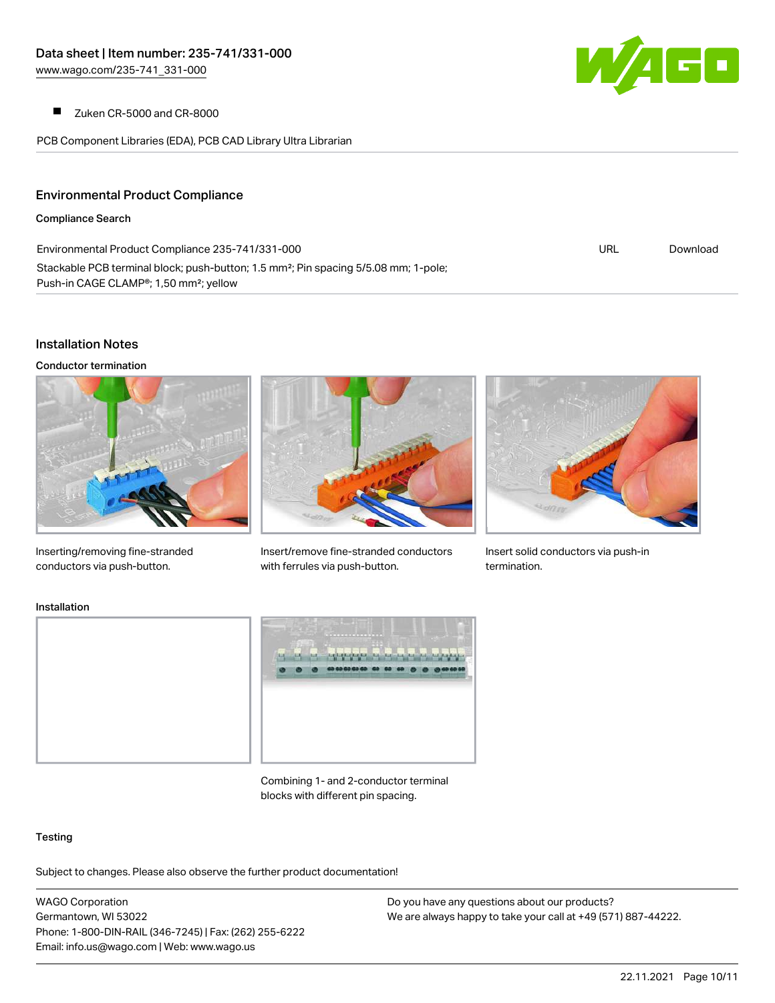$\blacksquare$ Zuken CR-5000 and CR-8000

PCB Component Libraries (EDA), PCB CAD Library Ultra Librarian



#### Environmental Product Compliance

Compliance Search

| Environmental Product Compliance 235-741/331-000                                                                                                                   | URL | Download |
|--------------------------------------------------------------------------------------------------------------------------------------------------------------------|-----|----------|
| Stackable PCB terminal block; push-button; 1.5 mm <sup>2</sup> ; Pin spacing 5/5.08 mm; 1-pole;<br>Push-in CAGE CLAMP <sup>®</sup> ; 1,50 mm <sup>2</sup> ; yellow |     |          |

#### Installation Notes

Conductor termination





Insert/remove fine-stranded conductors with ferrules via push-button.



Insert solid conductors via push-in termination.

Inserting/removing fine-stranded conductors via push-button.

#### Installation



Combining 1- and 2-conductor terminal blocks with different pin spacing.

#### **Testing**

Subject to changes. Please also observe the further product documentation!

WAGO Corporation Germantown, WI 53022 Phone: 1-800-DIN-RAIL (346-7245) | Fax: (262) 255-6222 Email: info.us@wago.com | Web: www.wago.us